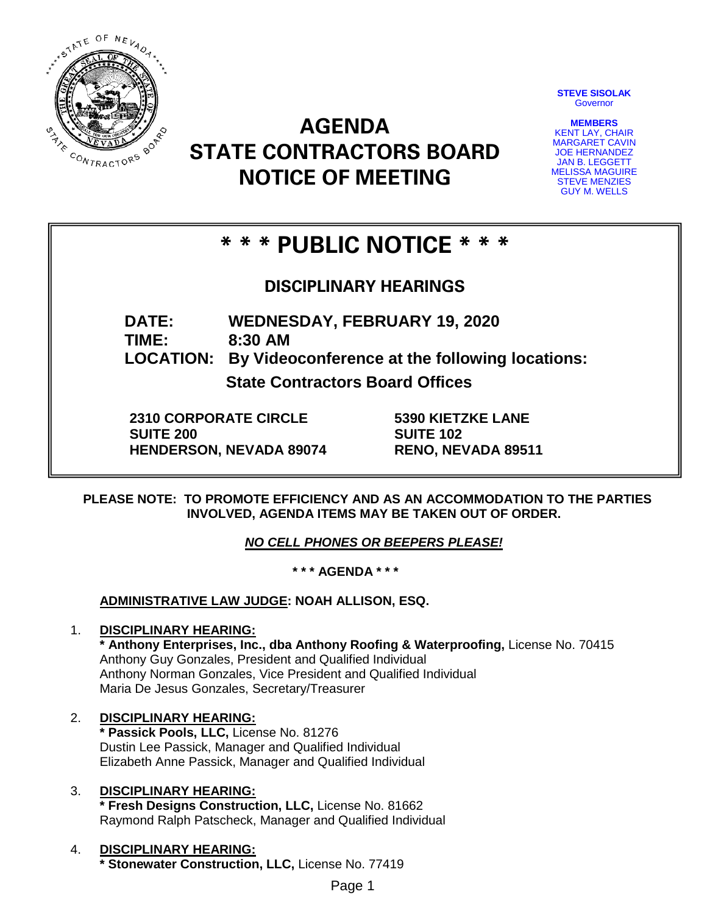

**STEVE SISOLAK Governor** 

**MEMBERS** KENT LAY, CHAIR MARGARET CAVIN JOE HERNANDEZ JAN B. LEGGETT MELISSA MAGUIRE STEVE MENZIES GUY M. WELLS

# **AGENDA STATE CONTRACTORS BOARD NOTICE OF MEETING**

## **\* \* \* PUBLIC NOTICE \* \* \***

## **DISCIPLINARY HEARINGS**

**DATE: WEDNESDAY, FEBRUARY 19, 2020**

**TIME: 8:30 AM**

**LOCATION: By Videoconference at the following locations:**

**State Contractors Board Offices**

**2310 CORPORATE CIRCLE SUITE 200 HENDERSON, NEVADA 89074** **5390 KIETZKE LANE SUITE 102 RENO, NEVADA 89511**

**PLEASE NOTE: TO PROMOTE EFFICIENCY AND AS AN ACCOMMODATION TO THE PARTIES INVOLVED, AGENDA ITEMS MAY BE TAKEN OUT OF ORDER.**

*NO CELL PHONES OR BEEPERS PLEASE!* 

**\* \* \* AGENDA \* \* \***

**ADMINISTRATIVE LAW JUDGE: NOAH ALLISON, ESQ.** 

## 1. **DISCIPLINARY HEARING:**

**\* Anthony Enterprises, Inc., dba Anthony Roofing & Waterproofing,** License No. 70415 Anthony Guy Gonzales, President and Qualified Individual Anthony Norman Gonzales, Vice President and Qualified Individual Maria De Jesus Gonzales, Secretary/Treasurer

## 2. **DISCIPLINARY HEARING:**

**\* Passick Pools, LLC,** License No. 81276 Dustin Lee Passick, Manager and Qualified Individual Elizabeth Anne Passick, Manager and Qualified Individual

#### 3. **DISCIPLINARY HEARING: \* Fresh Designs Construction, LLC,** License No. 81662 Raymond Ralph Patscheck, Manager and Qualified Individual

#### 4. **DISCIPLINARY HEARING: \* Stonewater Construction, LLC,** License No. 77419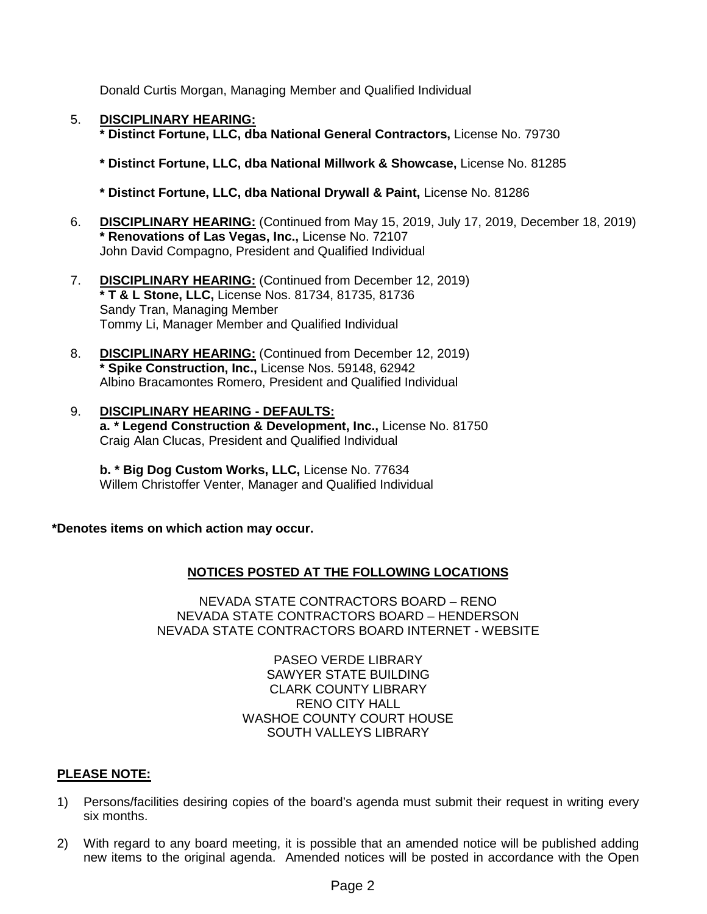Donald Curtis Morgan, Managing Member and Qualified Individual

5. **DISCIPLINARY HEARING:**

**\* Distinct Fortune, LLC, dba National General Contractors,** License No. 79730

**\* Distinct Fortune, LLC, dba National Millwork & Showcase,** License No. 81285

**\* Distinct Fortune, LLC, dba National Drywall & Paint,** License No. 81286

- 6. **DISCIPLINARY HEARING:** (Continued from May 15, 2019, July 17, 2019, December 18, 2019) **\* Renovations of Las Vegas, Inc.,** License No. 72107 John David Compagno, President and Qualified Individual
- 7. **DISCIPLINARY HEARING:** (Continued from December 12, 2019) **\* T & L Stone, LLC,** License Nos. 81734, 81735, 81736 Sandy Tran, Managing Member Tommy Li, Manager Member and Qualified Individual
- 8. **DISCIPLINARY HEARING:** (Continued from December 12, 2019) **\* Spike Construction, Inc.,** License Nos. 59148, 62942 Albino Bracamontes Romero, President and Qualified Individual
- 9. **DISCIPLINARY HEARING - DEFAULTS: a. \* Legend Construction & Development, Inc.,** License No. 81750 Craig Alan Clucas, President and Qualified Individual

**b. \* Big Dog Custom Works, LLC,** License No. 77634 Willem Christoffer Venter, Manager and Qualified Individual

**\*Denotes items on which action may occur.**

### **NOTICES POSTED AT THE FOLLOWING LOCATIONS**

NEVADA STATE CONTRACTORS BOARD – RENO NEVADA STATE CONTRACTORS BOARD – HENDERSON NEVADA STATE CONTRACTORS BOARD INTERNET - WEBSITE

> PASEO VERDE LIBRARY SAWYER STATE BUILDING CLARK COUNTY LIBRARY RENO CITY HALL WASHOE COUNTY COURT HOUSE SOUTH VALLEYS LIBRARY

#### **PLEASE NOTE:**

- 1) Persons/facilities desiring copies of the board's agenda must submit their request in writing every six months.
- 2) With regard to any board meeting, it is possible that an amended notice will be published adding new items to the original agenda. Amended notices will be posted in accordance with the Open